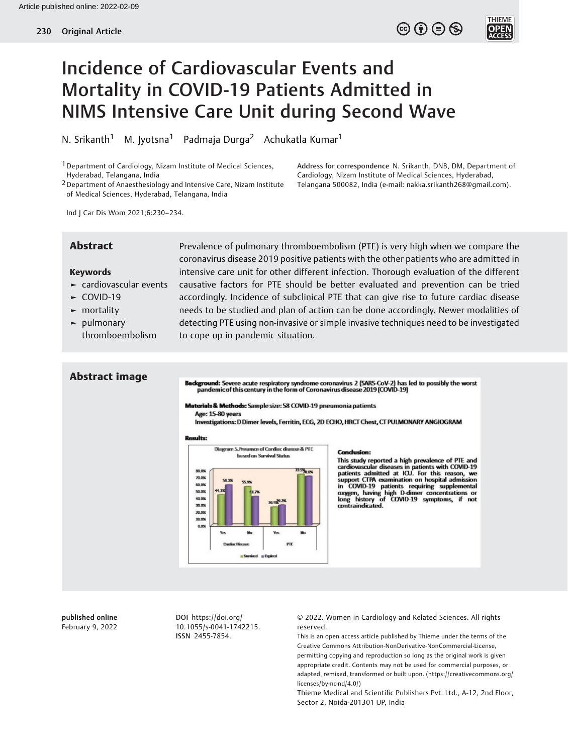$\circledcirc$  (i)  $\ominus$   $\circledcirc$ 

**THIEME** 

**OPEN**<br>ACCES

## Incidence of Cardiovascular Events and Mortality in COVID-19 Patients Admitted in NIMS Intensive Care Unit during Second Wave

N. Srikanth<sup>1</sup> M. Jyotsna<sup>1</sup> Padmaja Durga<sup>2</sup> Achukatla Kumar<sup>1</sup>

<sup>1</sup> Department of Cardiology, Nizam Institute of Medical Sciences, Hyderabad, Telangana, India

2Department of Anaesthesiology and Intensive Care, Nizam Institute of Medical Sciences, Hyderabad, Telangana, India

Address for correspondence N. Srikanth, DNB, DM, Department of Cardiology, Nizam Institute of Medical Sciences, Hyderabad, Telangana 500082, India (e-mail: [nakka.srikanth268@gmail.com](mailto:nakka.srikanth268@gmail.com)).

Ind J Car Dis Wom 2021;6:230–234.

#### Keywords

- ► cardiovascular events
- ► COVID-19
- ► mortality
- ► pulmonary thromboembolism

Abstract Prevalence of pulmonary thromboembolism (PTE) is very high when we compare the coronavirus disease 2019 positive patients with the other patients who are admitted in intensive care unit for other different infection. Thorough evaluation of the different causative factors for PTE should be better evaluated and prevention can be tried accordingly. Incidence of subclinical PTE that can give rise to future cardiac disease needs to be studied and plan of action can be done accordingly. Newer modalities of detecting PTE using non-invasive or simple invasive techniques need to be investigated to cope up in pandemic situation.

# Abstract image

Background: Severe acute respiratory syndrome coronavirus 2 (SARS-CoV-2) has led to possibly the worst<br>pandemic of this century in the form of Coronavirus disease 2019 (COVID-19)

#### Materials & Methods: Sample size: 58 COVID-19 pneumonia patients

Age: 15-80 years

Investigations: D Dimer levels, Ferritin, ECG, 2D ECHO, HRCT Chest, CT PULMONARY ANGIOGRAM

#### **Results:**



#### **Condusion:**

This study reported a high prevalence of PTE and cardiovascular diseases in patients with COVID-19<br>patients admitted at ICU. For this reason, we<br>support CTPA examination on hospital admission in COVID-19 patients requiring supplemental<br>oxygen, having high D-dimer concentrations or<br>long history of COVID-19 symptoms, if not<br>contraindicated.

published online February 9, 2022

DOI [https://doi.org/](https://doi.org/10.1055/s-0041-1742215) [10.1055/s-0041-1742215](https://doi.org/10.1055/s-0041-1742215). ISSN 2455-7854.

© 2022. Women in Cardiology and Related Sciences. All rights reserved.

This is an open access article published by Thieme under the terms of the Creative Commons Attribution-NonDerivative-NonCommercial-License, permitting copying and reproduction so long as the original work is given appropriate credit. Contents may not be used for commercial purposes, or adapted, remixed, transformed or built upon. (https://creativecommons.org/ licenses/by-nc-nd/4.0/)

Thieme Medical and Scientific Publishers Pvt. Ltd., A-12, 2nd Floor, Sector 2, Noida-201301 UP, India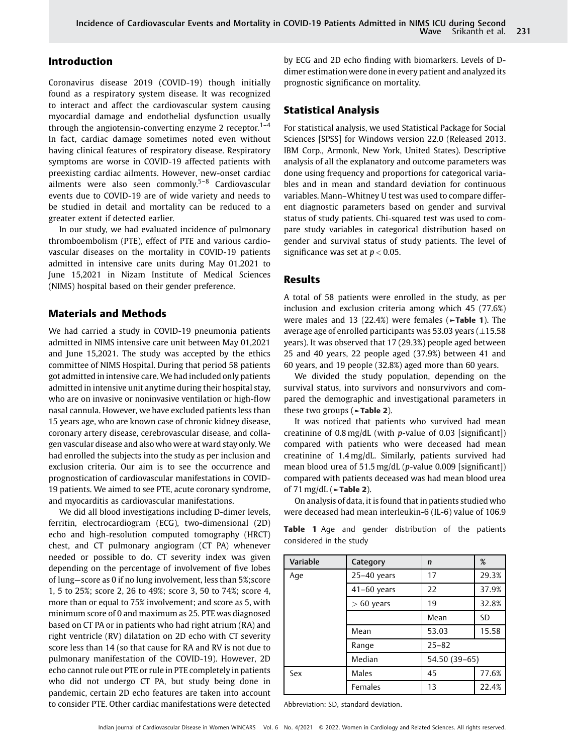#### Introduction

Coronavirus disease 2019 (COVID-19) though initially found as a respiratory system disease. It was recognized to interact and affect the cardiovascular system causing myocardial damage and endothelial dysfunction usually through the angiotensin-converting enzyme 2 receptor.<sup>1–4</sup> In fact, cardiac damage sometimes noted even without having clinical features of respiratory disease. Respiratory symptoms are worse in COVID-19 affected patients with preexisting cardiac ailments. However, new-onset cardiac ailments were also seen commonly.5–<sup>8</sup> Cardiovascular events due to COVID-19 are of wide variety and needs to be studied in detail and mortality can be reduced to a greater extent if detected earlier.

In our study, we had evaluated incidence of pulmonary thromboembolism (PTE), effect of PTE and various cardiovascular diseases on the mortality in COVID-19 patients admitted in intensive care units during May 01,2021 to June 15,2021 in Nizam Institute of Medical Sciences (NIMS) hospital based on their gender preference.

#### Materials and Methods

We had carried a study in COVID-19 pneumonia patients admitted in NIMS intensive care unit between May 01,2021 and June 15,2021. The study was accepted by the ethics committee of NIMS Hospital. During that period 58 patients got admitted in intensive care. We had included only patients admitted in intensive unit anytime during their hospital stay, who are on invasive or noninvasive ventilation or high-flow nasal cannula. However, we have excluded patients less than 15 years age, who are known case of chronic kidney disease, coronary artery disease, cerebrovascular disease, and collagen vascular disease and also who were at ward stay only. We had enrolled the subjects into the study as per inclusion and exclusion criteria. Our aim is to see the occurrence and prognostication of cardiovascular manifestations in COVID-19 patients. We aimed to see PTE, acute coronary syndrome, and myocarditis as cardiovascular manifestations.

We did all blood investigations including D-dimer levels, ferritin, electrocardiogram (ECG), two-dimensional (2D) echo and high-resolution computed tomography (HRCT) chest, and CT pulmonary angiogram (CT PA) whenever needed or possible to do. CT severity index was given depending on the percentage of involvement of five lobes of lung—score as 0 if no lung involvement, less than 5%;score 1, 5 to 25%; score 2, 26 to 49%; score 3, 50 to 74%; score 4, more than or equal to 75% involvement; and score as 5, with minimum score of 0 and maximum as 25. PTE was diagnosed based on CT PA or in patients who had right atrium (RA) and right ventricle (RV) dilatation on 2D echo with CT severity score less than 14 (so that cause for RA and RV is not due to pulmonary manifestation of the COVID-19). However, 2D echo cannot rule out PTE or rule in PTE completely in patients who did not undergo CT PA, but study being done in pandemic, certain 2D echo features are taken into account to consider PTE. Other cardiac manifestations were detected

by ECG and 2D echo finding with biomarkers. Levels of Ddimer estimation were done in every patient and analyzed its prognostic significance on mortality.

### Statistical Analysis

For statistical analysis, we used Statistical Package for Social Sciences [SPSS] for Windows version 22.0 (Released 2013. IBM Corp., Armonk, New York, United States). Descriptive analysis of all the explanatory and outcome parameters was done using frequency and proportions for categorical variables and in mean and standard deviation for continuous variables. Mann–Whitney U test was used to compare different diagnostic parameters based on gender and survival status of study patients. Chi-squared test was used to compare study variables in categorical distribution based on gender and survival status of study patients. The level of significance was set at  $p < 0.05$ .

#### Results

A total of 58 patients were enrolled in the study, as per inclusion and exclusion criteria among which 45 (77.6%) were males and 13 (22.4%) were females (►Table 1). The average age of enrolled participants was 53.03 years  $(\pm 15.58$ years). It was observed that 17 (29.3%) people aged between 25 and 40 years, 22 people aged (37.9%) between 41 and 60 years, and 19 people (32.8%) aged more than 60 years.

We divided the study population, depending on the survival status, into survivors and nonsurvivors and compared the demographic and investigational parameters in these two groups (►Table 2).

It was noticed that patients who survived had mean creatinine of  $0.8 \text{ mg/dL}$  (with *p*-value of  $0.03$  [significant]) compared with patients who were deceased had mean creatinine of 1.4 mg/dL. Similarly, patients survived had mean blood urea of 51.5 mg/dL (p-value 0.009 [significant]) compared with patients deceased was had mean blood urea of  $71 \text{ mg/dL}$  ( $\sim$ Table 2).

On analysis of data, it is found that in patients studied who were deceased had mean interleukin-6 (IL-6) value of 106.9

Table 1 Age and gender distribution of the patients considered in the study

| Variable | Category      | $\mathsf{n}$  | %     |  |  |
|----------|---------------|---------------|-------|--|--|
| Age      | $25-40$ years | 29.3%<br>17   |       |  |  |
|          | $41-60$ years | 37.9%         |       |  |  |
|          | $> 60$ years  | 32.8%         |       |  |  |
|          |               | SD            |       |  |  |
|          | 53.03<br>Mean |               | 15.58 |  |  |
|          | Range         | $25 - 82$     |       |  |  |
|          | Median        | 54.50 (39-65) |       |  |  |
| Sex      | Males         | 45            | 77.6% |  |  |
|          | Females       | 13            | 22.4% |  |  |

Abbreviation: SD, standard deviation.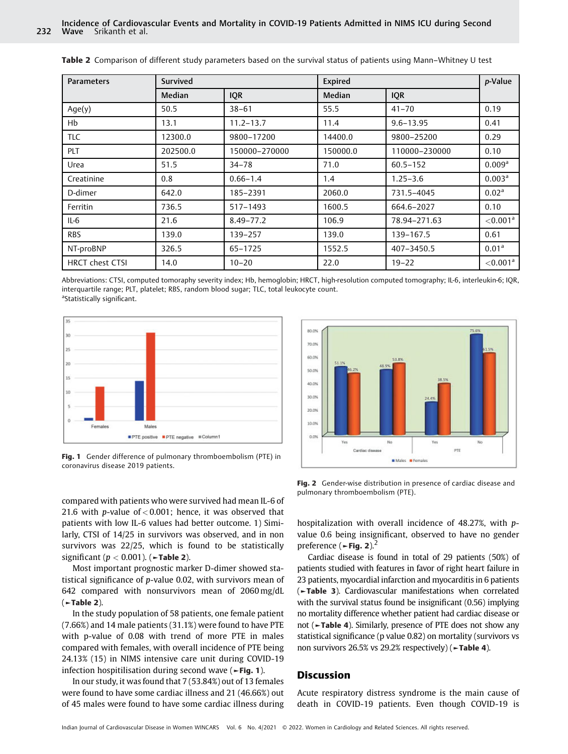| <b>Parameters</b>      | Expired<br>Survived |               | p-Value       |               |                         |
|------------------------|---------------------|---------------|---------------|---------------|-------------------------|
|                        | <b>Median</b>       | <b>IQR</b>    | <b>Median</b> | <b>IQR</b>    |                         |
| Age(y)                 | 50.5                | $38 - 61$     | 55.5          | $41 - 70$     | 0.19                    |
| Hb                     | 13.1                | $11.2 - 13.7$ | 11.4          | $9.6 - 13.95$ | 0.41                    |
| TLC.                   | 12300.0             | 9800-17200    | 14400.0       | 9800-25200    | 0.29                    |
| PLT                    | 202500.0            | 150000-270000 | 150000.0      | 110000-230000 | 0.10                    |
| Urea                   | 51.5                | $34 - 78$     | 71.0          | $60.5 - 152$  | 0.009 <sup>a</sup>      |
| Creatinine             | 0.8                 | $0.66 - 1.4$  | 1.4           | $1.25 - 3.6$  | 0.003 <sup>a</sup>      |
| D-dimer                | 642.0               | 185-2391      | 2060.0        | 731.5-4045    | 0.02 <sup>a</sup>       |
| Ferritin               | 736.5               | 517-1493      | 1600.5        | 664.6-2027    | 0.10                    |
| $IL-6$                 | 21.6                | $8.49 - 77.2$ | 106.9         | 78.94-271.63  | ${<}0.001$ <sup>a</sup> |
| <b>RBS</b>             | 139.0               | 139-257       | 139.0         | 139-167.5     | 0.61                    |
| NT-proBNP              | 326.5               | 65-1725       | 1552.5        | 407-3450.5    | 0.01 <sup>a</sup>       |
| <b>HRCT chest CTSI</b> | 14.0                | $10 - 20$     | 22.0          | $19 - 22$     | ${<}0.001$ <sup>a</sup> |

Table 2 Comparison of different study parameters based on the survival status of patients using Mann–Whitney U test

Abbreviations: CTSI, computed tomoraphy severity index; Hb, hemoglobin; HRCT, high-resolution computed tomography; IL-6, interleukin-6; IQR, interquartile range; PLT, platelet; RBS, random blood sugar; TLC, total leukocyte count. <sup>a</sup>Statistically significant.



Fig. 1 Gender difference of pulmonary thromboembolism (PTE) in coronavirus disease 2019 patients.

compared with patients who were survived had mean IL-6 of 21.6 with *p*-value of  $< 0.001$ ; hence, it was observed that patients with low IL-6 values had better outcome. 1) Similarly, CTSI of 14/25 in survivors was observed, and in non survivors was 22/25, which is found to be statistically significant ( $p < 0.001$ ). ( $\blacktriangleright$ Table 2).

Most important prognostic marker D-dimer showed statistical significance of p-value 0.02, with survivors mean of 642 compared with nonsurvivors mean of 2060 mg/dL  $($   $\blacktriangleright$  Table 2).

In the study population of 58 patients, one female patient (7.66%) and 14 male patients (31.1%) were found to have PTE with p-value of 0.08 with trend of more PTE in males compared with females, with overall incidence of PTE being 24.13% (15) in NIMS intensive care unit during COVID-19 infection hospitilisation during second wave  $($  > Fig. 1).

In our study, it was found that 7 (53.84%) out of 13 females were found to have some cardiac illness and 21 (46.66%) out of 45 males were found to have some cardiac illness during



Fig. 2 Gender-wise distribution in presence of cardiac disease and pulmonary thromboembolism (PTE).

hospitalization with overall incidence of 48.27%, with pvalue 0.6 being insignificant, observed to have no gender preference ( $\blacktriangleright$ Fig. 2).<sup>2</sup>

Cardiac disease is found in total of 29 patients (50%) of patients studied with features in favor of right heart failure in 23 patients, myocardial infarction and myocarditis in 6 patients (►Table 3). Cardiovascular manifestations when correlated with the survival status found be insignificant (0.56) implying no mortality difference whether patient had cardiac disease or not (►Table 4). Similarly, presence of PTE does not show any statistical significance (p value 0.82) on mortality (survivors vs non survivors 26.5% vs 29.2% respectively) (►Table 4).

#### **Discussion**

Acute respiratory distress syndrome is the main cause of death in COVID-19 patients. Even though COVID-19 is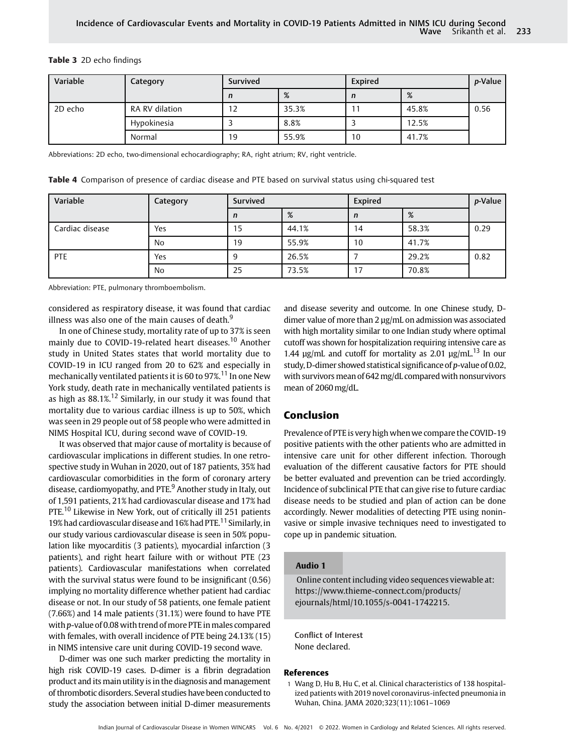#### Table 3 2D echo findings

| Variable | Category       | Survived |       | Expired |       | <i>p</i> -Value |
|----------|----------------|----------|-------|---------|-------|-----------------|
|          |                | n        | %     | n       | %     |                 |
| 2D echo  | RA RV dilation | 12       | 35.3% |         | 45.8% | 0.56            |
|          | Hypokinesia    |          | 8.8%  |         | 12.5% |                 |
|          | Normal         | 19       | 55.9% | 10      | 41.7% |                 |

Abbreviations: 2D echo, two-dimensional echocardiography; RA, right atrium; RV, right ventricle.

|  | Table 4 Comparison of presence of cardiac disease and PTE based on survival status using chi-squared test |  |  |  |  |  |  |  |
|--|-----------------------------------------------------------------------------------------------------------|--|--|--|--|--|--|--|
|--|-----------------------------------------------------------------------------------------------------------|--|--|--|--|--|--|--|

| Variable        | Category | Survived |       | Expired |       | <i>p</i> -Value |
|-----------------|----------|----------|-------|---------|-------|-----------------|
|                 |          | n        | %     | n       | %     |                 |
| Cardiac disease | Yes      | 15       | 44.1% | 14      | 58.3% | 0.29            |
|                 | No       | 19       | 55.9% | 10      | 41.7% |                 |
| PTE             | Yes      | 9        | 26.5% |         | 29.2% | 0.82            |
|                 | No       | 25       | 73.5% | 17      | 70.8% |                 |

Abbreviation: PTE, pulmonary thromboembolism.

considered as respiratory disease, it was found that cardiac illness was also one of the main causes of death. $9$ 

In one of Chinese study, mortality rate of up to 37% is seen mainly due to COVID-19-related heart diseases.<sup>10</sup> Another study in United States states that world mortality due to COVID-19 in ICU ranged from 20 to 62% and especially in mechanically ventilated patients it is 60 to 97%.<sup>11</sup> In one New York study, death rate in mechanically ventilated patients is as high as  $88.1\%$ <sup>12</sup> Similarly, in our study it was found that mortality due to various cardiac illness is up to 50%, which was seen in 29 people out of 58 people who were admitted in NIMS Hospital ICU, during second wave of COVID-19.

It was observed that major cause of mortality is because of cardiovascular implications in different studies. In one retrospective study in Wuhan in 2020, out of 187 patients, 35% had cardiovascular comorbidities in the form of coronary artery disease, cardiomyopathy, and PTE.<sup>9</sup> Another study in Italy, out of 1,591 patients, 21% had cardiovascular disease and 17% had PTE.<sup>10</sup> Likewise in New York, out of critically ill 251 patients 19% had cardiovascular disease and 16% had PTE.<sup>11</sup> Similarly, in our study various cardiovascular disease is seen in 50% population like myocarditis (3 patients), myocardial infarction (3 patients), and right heart failure with or without PTE (23 patients). Cardiovascular manifestations when correlated with the survival status were found to be insignificant (0.56) implying no mortality difference whether patient had cardiac disease or not. In our study of 58 patients, one female patient (7.66%) and 14 male patients (31.1%) were found to have PTE with p-value of 0.08 with trend of more PTE in males compared with females, with overall incidence of PTE being 24.13% (15) in NIMS intensive care unit during COVID-19 second wave.

D-dimer was one such marker predicting the mortality in high risk COVID-19 cases. D-dimer is a fibrin degradation product and its main utility is in the diagnosis and management of thrombotic disorders. Several studies have been conducted to study the association between initial D-dimer measurements and disease severity and outcome. In one Chinese study, Ddimer value of more than 2 µg/mL on admission was associated with high mortality similar to one Indian study where optimal cutoff was shown for hospitalization requiring intensive care as 1.44  $\mu$ g/mL and cutoff for mortality as 2.01  $\mu$ g/mL $^{13}$  In our study, D-dimer showed statistical significance of p-value of 0.02, with survivors mean of 642mg/dL compared with nonsurvivors mean of 2060mg/dL.

#### Conclusion

Prevalence of PTE is very high when we compare the COVID-19 positive patients with the other patients who are admitted in intensive care unit for other different infection. Thorough evaluation of the different causative factors for PTE should be better evaluated and prevention can be tried accordingly. Incidence of subclinical PTE that can give rise to future cardiac disease needs to be studied and plan of action can be done accordingly. Newer modalities of detecting PTE using noninvasive or simple invasive techniques need to investigated to cope up in pandemic situation.

#### Audio 1

Online content including video sequences viewable at: [https://www.thieme-connect.com/products/](https://www.thieme-connect.com/products/ejournals/html/10.1055/s-0041-1742215) [ejournals/html/10.1055/s-0041-1742215.](https://www.thieme-connect.com/products/ejournals/html/10.1055/s-0041-1742215)

Conflict of Interest None declared.

#### References

1 Wang D, Hu B, Hu C, et al. Clinical characteristics of 138 hospitalized patients with 2019 novel coronavirus-infected pneumonia in Wuhan, China. JAMA 2020;323(11):1061–1069